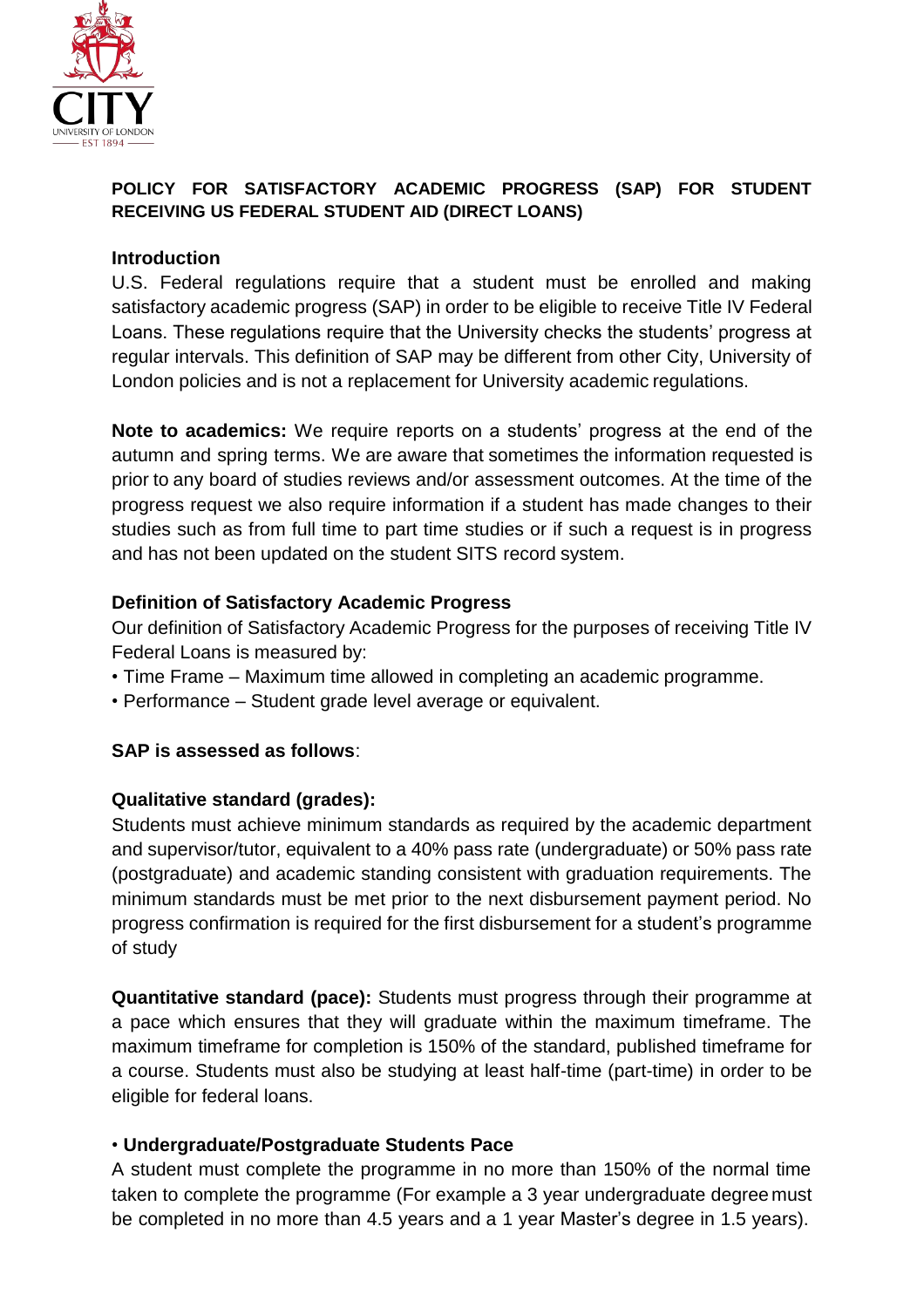

## **POLICY FOR SATISFACTORY ACADEMIC PROGRESS (SAP) FOR STUDENT RECEIVING US FEDERAL STUDENT AID (DIRECT LOANS)**

## **Introduction**

U.S. Federal regulations require that a student must be enrolled and making satisfactory academic progress (SAP) in order to be eligible to receive Title IV Federal Loans. These regulations require that the University checks the students' progress at regular intervals. This definition of SAP may be different from other City, University of London policies and is not a replacement for University academic regulations.

**Note to academics:** We require reports on a students' progress at the end of the autumn and spring terms. We are aware that sometimes the information requested is prior to any board of studies reviews and/or assessment outcomes. At the time of the progress request we also require information if a student has made changes to their studies such as from full time to part time studies or if such a request is in progress and has not been updated on the student SITS record system.

## **Definition of Satisfactory Academic Progress**

Our definition of Satisfactory Academic Progress for the purposes of receiving Title IV Federal Loans is measured by:

- Time Frame Maximum time allowed in completing an academic programme.
- Performance Student grade level average or equivalent.

# **SAP is assessed as follows**:

## **Qualitative standard (grades):**

Students must achieve minimum standards as required by the academic department and supervisor/tutor, equivalent to a 40% pass rate (undergraduate) or 50% pass rate (postgraduate) and academic standing consistent with graduation requirements. The minimum standards must be met prior to the next disbursement payment period. No progress confirmation is required for the first disbursement for a student's programme of study

**Quantitative standard (pace):** Students must progress through their programme at a pace which ensures that they will graduate within the maximum timeframe. The maximum timeframe for completion is 150% of the standard, published timeframe for a course. Students must also be studying at least half-time (part-time) in order to be eligible for federal loans.

## • **Undergraduate/Postgraduate Students Pace**

A student must complete the programme in no more than 150% of the normal time taken to complete the programme (For example a 3 year undergraduate degree must be completed in no more than 4.5 years and a 1 year Master's degree in 1.5 years).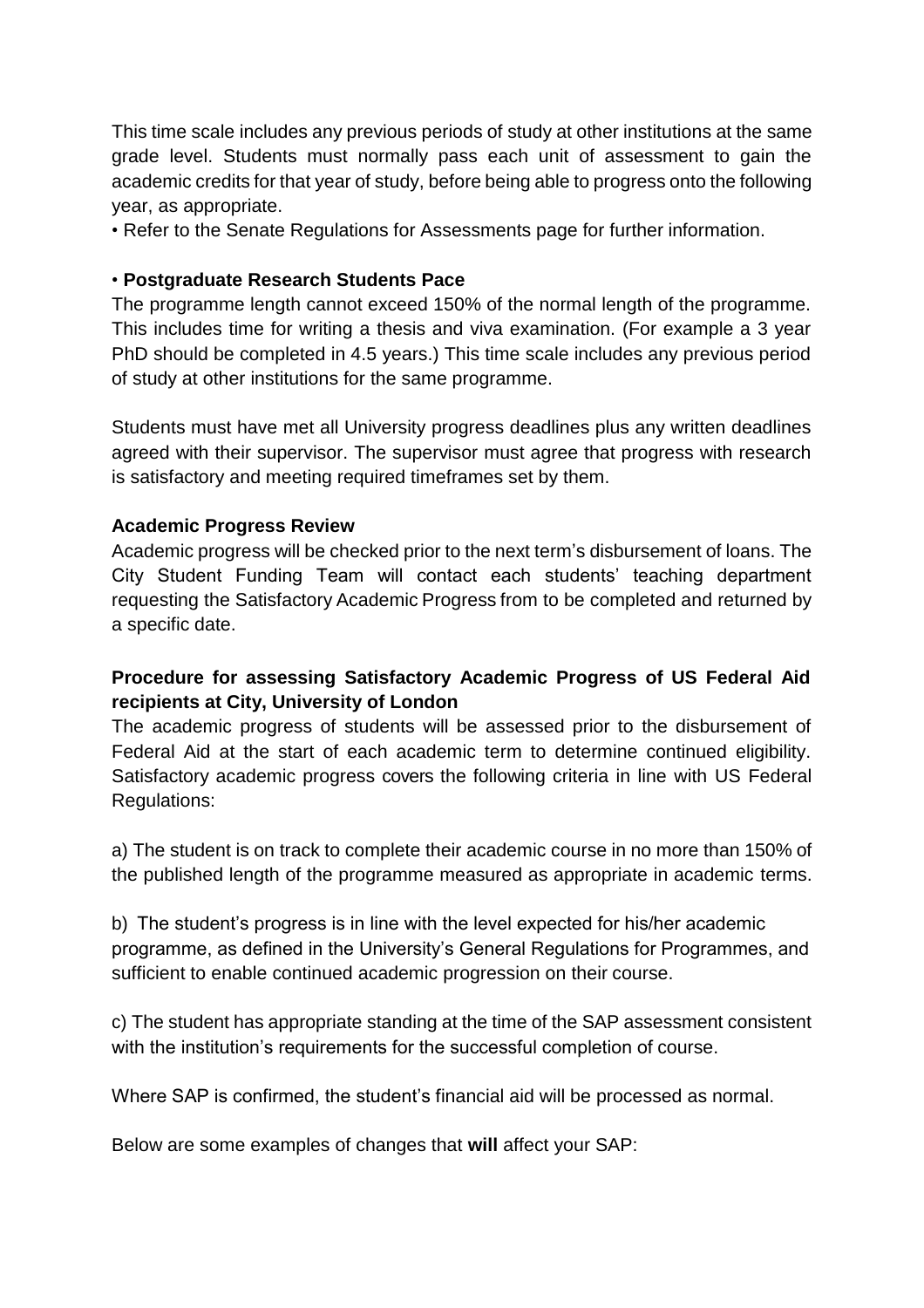This time scale includes any previous periods of study at other institutions at the same grade level. Students must normally pass each unit of assessment to gain the academic credits for that year of study, before being able to progress onto the following year, as appropriate.

• Refer to the Senate Regulations for Assessments page for further information.

#### • **Postgraduate Research Students Pace**

The programme length cannot exceed 150% of the normal length of the programme. This includes time for writing a thesis and viva examination. (For example a 3 year PhD should be completed in 4.5 years.) This time scale includes any previous period of study at other institutions for the same programme.

Students must have met all University progress deadlines plus any written deadlines agreed with their supervisor. The supervisor must agree that progress with research is satisfactory and meeting required timeframes set by them.

#### **Academic Progress Review**

Academic progress will be checked prior to the next term's disbursement of loans. The City Student Funding Team will contact each students' teaching department requesting the Satisfactory Academic Progress from to be completed and returned by a specific date.

## **Procedure for assessing Satisfactory Academic Progress of US Federal Aid recipients at City, University of London**

The academic progress of students will be assessed prior to the disbursement of Federal Aid at the start of each academic term to determine continued eligibility. Satisfactory academic progress covers the following criteria in line with US Federal Regulations:

a) The student is on track to complete their academic course in no more than 150% of the published length of the programme measured as appropriate in academic terms.

b) The student's progress is in line with the level expected for his/her academic programme, as defined in the University's General Regulations for Programmes, and sufficient to enable continued academic progression on their course.

c) The student has appropriate standing at the time of the SAP assessment consistent with the institution's requirements for the successful completion of course.

Where SAP is confirmed, the student's financial aid will be processed as normal.

Below are some examples of changes that **will** affect your SAP: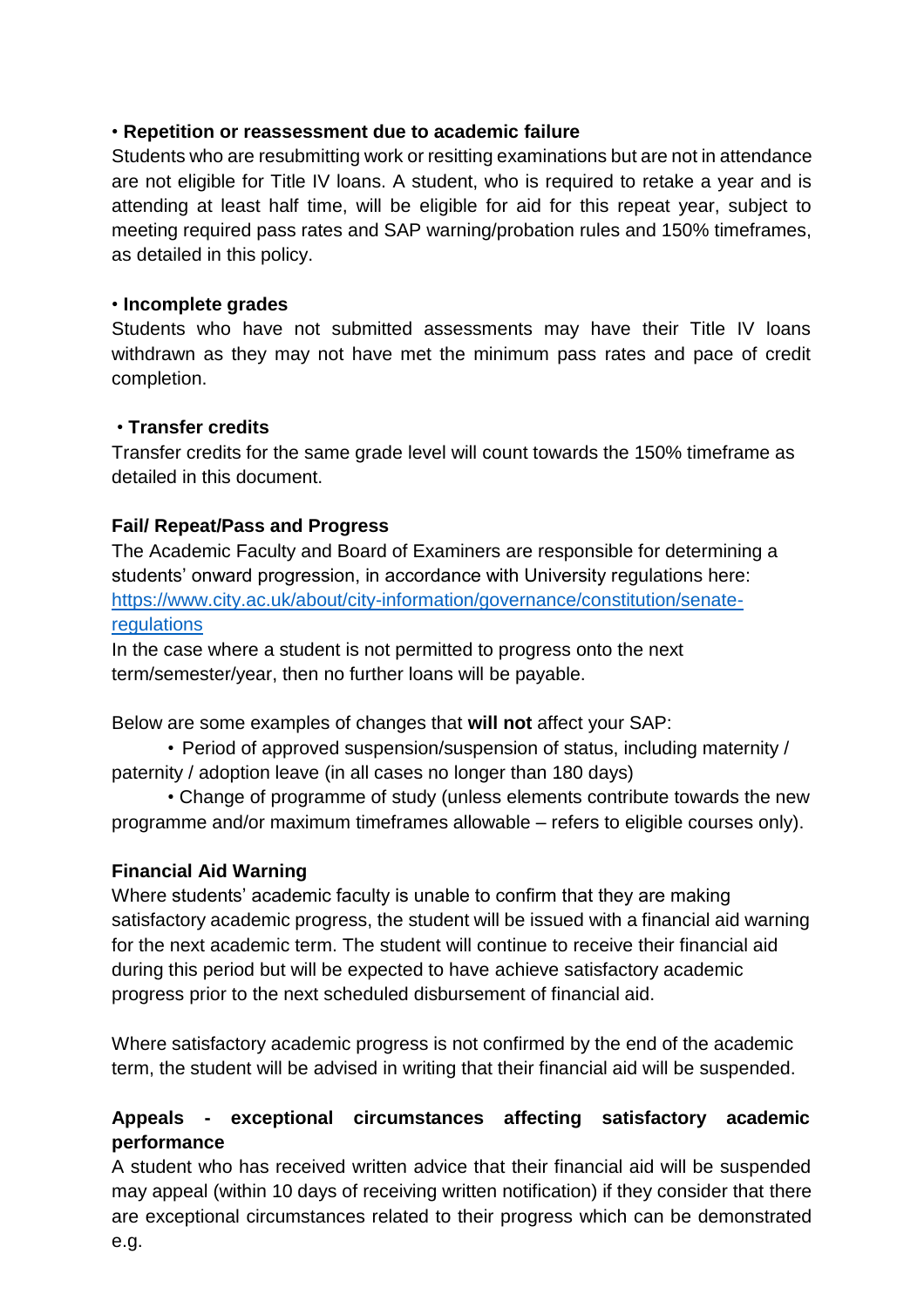#### • **Repetition or reassessment due to academic failure**

Students who are resubmitting work or resitting examinations but are not in attendance are not eligible for Title IV loans. A student, who is required to retake a year and is attending at least half time, will be eligible for aid for this repeat year, subject to meeting required pass rates and SAP warning/probation rules and 150% timeframes, as detailed in this policy.

#### • **Incomplete grades**

Students who have not submitted assessments may have their Title IV loans withdrawn as they may not have met the minimum pass rates and pace of credit completion.

## • **Transfer credits**

Transfer credits for the same grade level will count towards the 150% timeframe as detailed in this document.

## **Fail/ Repeat/Pass and Progress**

The Academic Faculty and Board of Examiners are responsible for determining a students' onward progression, in accordance with University regulations here: [https://www.city.ac.uk/about/city-information/governance/constitution/senate](https://www.city.ac.uk/about/city-information/governance/constitution/senate-regulations)[regulations](https://www.city.ac.uk/about/city-information/governance/constitution/senate-regulations)

In the case where a student is not permitted to progress onto the next term/semester/year, then no further loans will be payable.

Below are some examples of changes that **will not** affect your SAP:

• Period of approved suspension/suspension of status, including maternity / paternity / adoption leave (in all cases no longer than 180 days)

• Change of programme of study (unless elements contribute towards the new programme and/or maximum timeframes allowable – refers to eligible courses only).

## **Financial Aid Warning**

Where students' academic faculty is unable to confirm that they are making satisfactory academic progress, the student will be issued with a financial aid warning for the next academic term. The student will continue to receive their financial aid during this period but will be expected to have achieve satisfactory academic progress prior to the next scheduled disbursement of financial aid.

Where satisfactory academic progress is not confirmed by the end of the academic term, the student will be advised in writing that their financial aid will be suspended.

# **Appeals - exceptional circumstances affecting satisfactory academic performance**

A student who has received written advice that their financial aid will be suspended may appeal (within 10 days of receiving written notification) if they consider that there are exceptional circumstances related to their progress which can be demonstrated